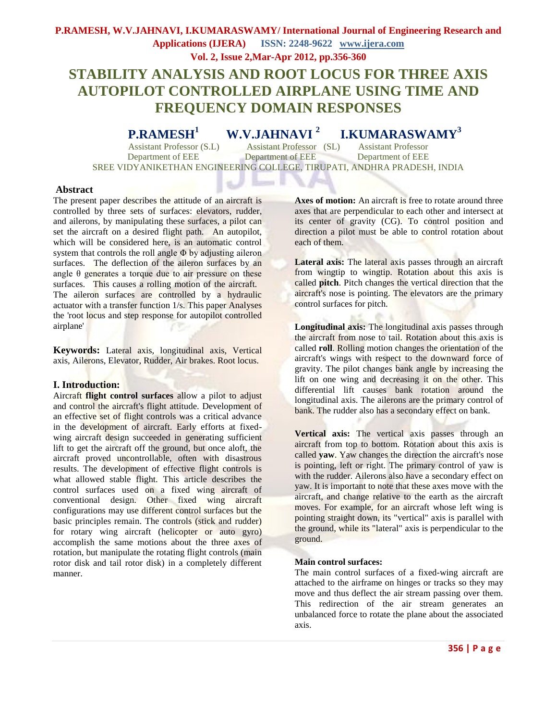# **P.RAMESH, W.V.JAHNAVI, I.KUMARASWAMY/ International Journal of Engineering Research and Applications (IJERA) ISSN: 2248-9622 www.ijera.com Vol. 2, Issue 2,Mar-Apr 2012, pp.356-360**

# **STABILITY ANALYSIS AND ROOT LOCUS FOR THREE AXIS AUTOPILOT CONTROLLED AIRPLANE USING TIME AND FREQUENCY DOMAIN RESPONSES**

**P.RAMESH<sup>1</sup>W.V.JAHNAVI <sup>2</sup>I.KUMARASWAMY<sup>3</sup>**

Department of EEE Department of EEE Department of EEE SREE VIDYANIKETHAN ENGINEERING COLLEGE, TIRUPATI, ANDHRA PRADESH, INDIA

- 1

Assistant Professor (S.L) Assistant Professor (SL) Assistant Professor

## **Abstract**

The present paper describes the attitude of an aircraft is controlled by three sets of surfaces: elevators, rudder, and ailerons, by manipulating these surfaces, a pilot can set the aircraft on a desired flight path. An autopilot, which will be considered here, is an automatic control system that controls the roll angle  $\Phi$  by adjusting aileron surfaces. The deflection of the aileron surfaces by an angle  $\theta$  generates a torque due to air pressure on these surfaces. This causes a rolling motion of the aircraft. The aileron surfaces are controlled by a hydraulic actuator with a transfer function 1/s. This paper Analyses the 'root locus and step response for autopilot controlled airplane'

**Keywords:** Lateral axis, longitudinal axis, Vertical axis, Ailerons, Elevator, Rudder, Air brakes. Root locus.

## **I. Introduction:**

Aircraft **flight control surfaces** allow a pilot to adjust and control the aircraft's flight attitude. Development of an effective set of flight controls was a critical advance in the development of aircraft. Early efforts at fixedwing aircraft design succeeded in generating sufficient lift to get the aircraft off the ground, but once aloft, the aircraft proved uncontrollable, often with disastrous results. The development of effective flight controls is what allowed stable flight. This article describes the control surfaces used on a fixed wing aircraft of conventional design. Other fixed wing aircraft configurations may use different control surfaces but the basic principles remain. The controls (stick and rudder) for rotary wing aircraft [\(helicopter](http://en.wikipedia.org/wiki/Helicopter) or [auto gyro\)](http://en.wikipedia.org/wiki/Autogyro) accomplish the same motions about the [three axes of](http://en.wikipedia.org/wiki/Aircraft_principal_axes)  [rotation,](http://en.wikipedia.org/wiki/Aircraft_principal_axes) but manipulate the rotating flight controls (main rotor disk and tail rotor disk) in a completely different manner.

**Axes of motion:** An aircraft is free to rotate around three axes that are perpendicular to each other and intersect at its [center of gravity](http://en.wikipedia.org/wiki/Center_of_gravity) (CG). To control position and direction a pilot must be able to control rotation about each of them.

**Lateral axis:** The lateral axis passes through an aircraft from wingtip to wingtip. Rotation about this axis is called **pitch**. Pitch changes the vertical direction that the aircraft's nose is pointing. The elevators are the primary control surfaces for pitch.

**Longitudinal axis:** The longitudinal axis passes through the aircraft from nose to tail. Rotation about this axis is called **roll**. Rolling motion changes the orientation of the aircraft's wings with respect to the downward force of gravity. The pilot changes bank angle by increasing the lift on one wing and decreasing it on the other. This differential lift causes bank rotation around the longitudinal axis. The ailerons are the primary control of bank. The rudder also has a secondary effect on bank.

**Vertical axis:** The vertical axis passes through an aircraft from top to bottom. Rotation about this axis is called **yaw**. Yaw changes the direction the aircraft's nose is pointing, left or right. The primary control of yaw is with the rudder. Ailerons also have a secondary effect on yaw. It is important to note that these axes move with the aircraft, and change relative to the earth as the aircraft moves. For example, for an aircraft whose left wing is pointing straight down, its "vertical" axis is parallel with the ground, while its "lateral" axis is perpendicular to the ground.

## **Main control surfaces:**

The main control surfaces of a [fixed-wing aircraft](http://en.wikipedia.org/wiki/Fixed-wing_aircraft) are attached to the airframe on hinges or tracks so they may move and thus deflect the air stream passing over them. This redirection of the air stream generates an unbalanced force to rotate the plane about the associated axis.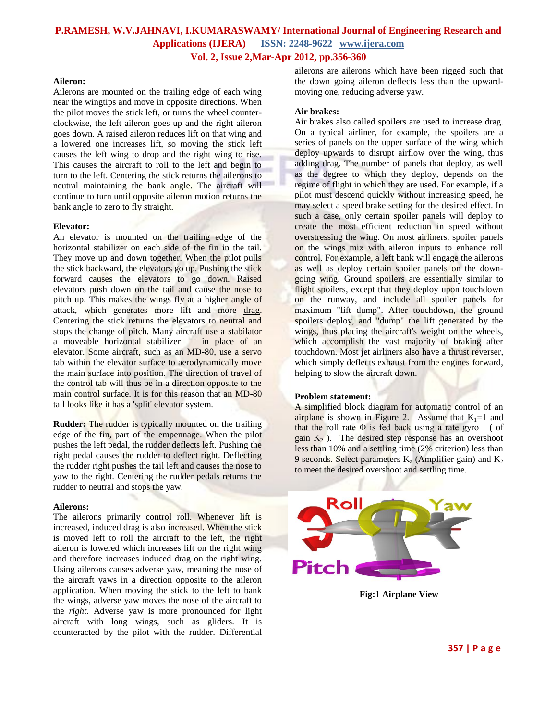## **P.RAMESH, W.V.JAHNAVI, I.KUMARASWAMY/ International Journal of Engineering Research and Applications (IJERA) ISSN: 2248-9622 www.ijera.com Vol. 2, Issue 2,Mar-Apr 2012, pp.356-360**

#### **Aileron:**

[Ailerons](http://en.wikipedia.org/wiki/Ailerons) are mounted on the trailing edge of each wing near the wingtips and move in opposite directions. When the pilot moves the stick left, or turns the wheel counterclockwise, the left aileron goes up and the right aileron goes down. A raised aileron reduces lift on that wing and a lowered one increases lift, so moving the stick left causes the left wing to drop and the right wing to rise. This causes the aircraft to roll to the left and begin to turn to the left. Centering the stick returns the ailerons to neutral maintaining the [bank angle.](http://en.wikipedia.org/wiki/Banked_turn#Aviation) The aircraft will continue to turn until opposite aileron motion returns the bank angle to zero to fly straight.

#### **Elevator:**

An [elevator](http://en.wikipedia.org/wiki/Elevator_(aircraft)) is mounted on the trailing edge of the [horizontal stabilizer](http://en.wikipedia.org/wiki/Horizontal_stabilizer) on each side of the fin in the tail. They move up and down together. When the pilot pulls the stick backward, the elevators go up. Pushing the stick forward causes the elevators to go down. Raised elevators push down on the tail and cause the nose to pitch up. This makes the wings fly at a higher [angle of](http://en.wikipedia.org/wiki/Angle_of_attack)  [attack,](http://en.wikipedia.org/wiki/Angle_of_attack) which generates more lift and more [drag.](http://en.wikipedia.org/wiki/Drag_(physics)) Centering the stick returns the elevators to neutral and stops the change of pitch. Many aircraft use a [stabilator](http://en.wikipedia.org/wiki/Stabilator)  a moveable horizontal stabilizer — in place of an elevator. Some aircraft, such as an [MD-80,](http://en.wikipedia.org/wiki/MD-80) use a [servo](http://en.wikipedia.org/wiki/Servo_tab) [tab](http://en.wikipedia.org/wiki/Servo_tab) within the elevator surface to aerodynamically move the main surface into position. The direction of travel of the control tab will thus be in a direction opposite to the main control surface. It is for this reason that an [MD-80](http://en.wikipedia.org/wiki/MD-80) tail looks like it has a 'split' elevator system.

**Rudder:** The [rudder](http://en.wikipedia.org/wiki/Rudder) is typically mounted on the trailing edge of the fin, part of the [empennage.](http://en.wikipedia.org/wiki/Empennage) When the pilot pushes the left pedal, the rudder deflects left. Pushing the right pedal causes the rudder to deflect right. Deflecting the rudder right pushes the tail left and causes the nose to yaw to the right. Centering the rudder pedals returns the rudder to neutral and stops the yaw.

#### **Ailerons:**

The ailerons primarily control roll. Whenever lift is increased, [induced drag](http://en.wikipedia.org/wiki/Induced_drag) is also increased. When the stick is moved left to roll the aircraft to the left, the right aileron is lowered which increases lift on the right wing and therefore increases induced drag on the right wing. Using ailerons causes [adverse yaw,](http://en.wikipedia.org/wiki/Adverse_yaw) meaning the nose of the aircraft yaws in a direction opposite to the aileron application. When moving the stick to the left to bank the wings, adverse yaw moves the nose of the aircraft to the *right*. Adverse yaw is more pronounced for light aircraft with long wings, such as gliders. It is counteracted by the pilot with the rudder. [Differential](http://en.wikipedia.org/wiki/Differential_ailerons)  [ailerons](http://en.wikipedia.org/wiki/Differential_ailerons) are ailerons which have been rigged such that the down going aileron deflects less than the upwardmoving one, reducing adverse yaw.

#### **[Air brakes:](http://en.wikipedia.org/wiki/Air_brake_(aircraft))**

Air brakes also called spoilers are used to increase drag. On a typical airliner, for example, the spoilers are a series of panels on the upper surface of the wing which deploy upwards to disrupt airflow over the wing, thus adding drag. The number of panels that deploy, as well as the degree to which they deploy, depends on the regime of flight in which they are used. For example, if a pilot must descend quickly without increasing speed, he may select a speed brake setting for the desired effect. In such a case, only certain spoiler panels will deploy to create the most efficient reduction in speed without overstressing the wing. On most airliners, spoiler panels on the wings mix with aileron inputs to enhance roll control. For example, a left bank will engage the ailerons as well as deploy certain spoiler panels on the downgoing wing. Ground spoilers are essentially similar to flight spoilers, except that they deploy upon touchdown on the runway, and include all spoiler panels for maximum "lift dump". After touchdown, the ground spoilers deploy, and "dump" the lift generated by the wings, thus placing the aircraft's weight on the wheels, which accomplish the vast majority of braking after touchdown. Most jet airliners also have a [thrust reverser,](http://en.wikipedia.org/wiki/Thrust_reversal) which simply deflects exhaust from the engines forward, helping to slow the aircraft down.

#### **Problem statement:**

A simplified block diagram for automatic control of an airplane is shown in Figure 2. Assume that  $K_1=1$  and that the roll rate  $\Phi$  is fed back using a rate gyro ( of gain  $K_2$ ). The desired step response has an overshoot less than 10% and a settling time (2% criterion) less than 9 seconds. Select parameters  $K_a$  (Amplifier gain) and  $K_2$ to meet the desired overshoot and settling time.



**Fig:1 Airplane View**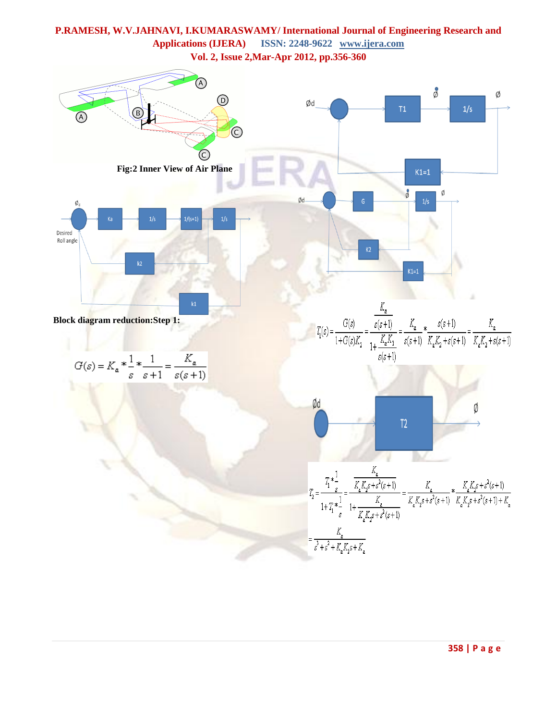# **P.RAMESH, W.V.JAHNAVI, I.KUMARASWAMY/ International Journal of Engineering Research and Applications (IJERA) ISSN: 2248-9622 www.ijera.com**

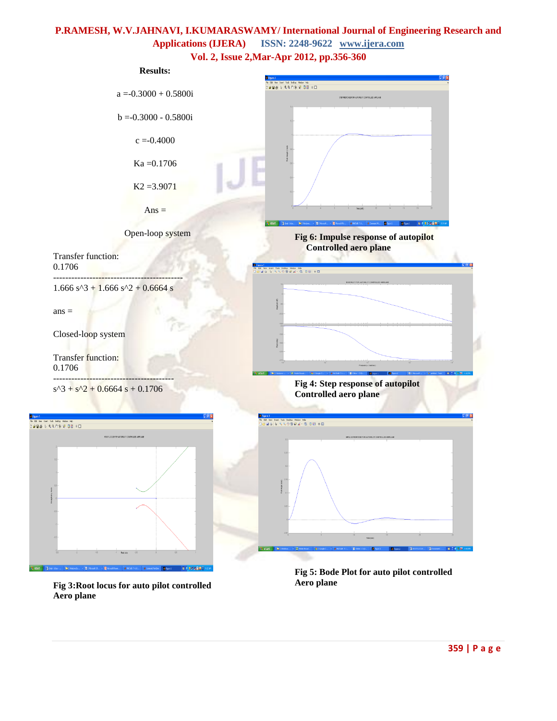# **P.RAMESH, W.V.JAHNAVI, I.KUMARASWAMY/ International Journal of Engineering Research and Applications (IJERA) ISSN: 2248-9622 www.ijera.com**





**Fig 3:Root locus for auto pilot controlled Aero plane**